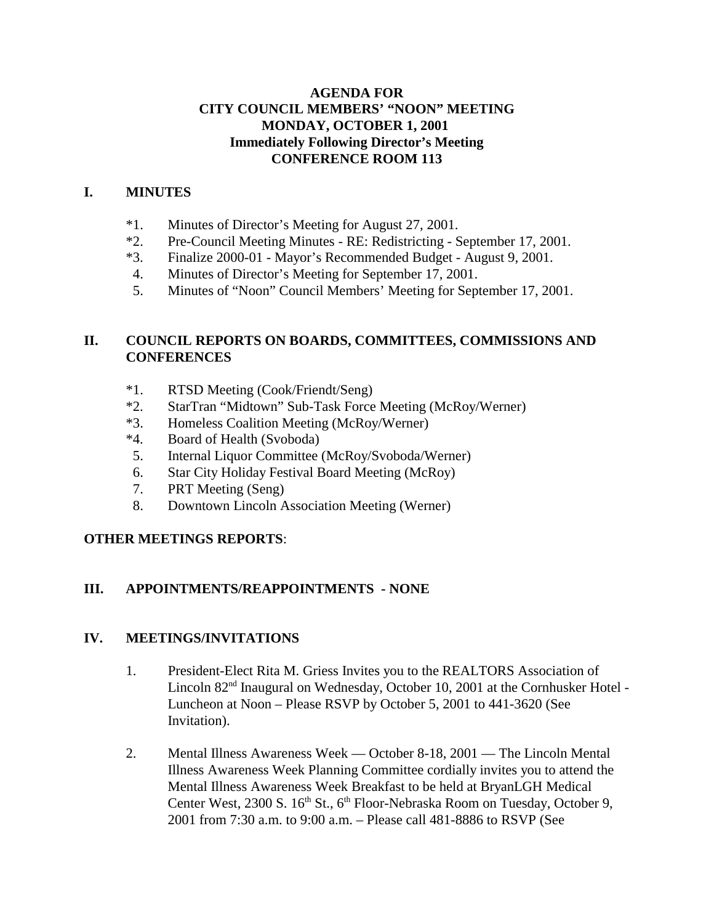#### **AGENDA FOR CITY COUNCIL MEMBERS' "NOON" MEETING MONDAY, OCTOBER 1, 2001 Immediately Following Director's Meeting CONFERENCE ROOM 113**

#### **I. MINUTES**

- \*1. Minutes of Director's Meeting for August 27, 2001.
- \*2. Pre-Council Meeting Minutes RE: Redistricting September 17, 2001.
- \*3. Finalize 2000-01 Mayor's Recommended Budget August 9, 2001.
- 4. Minutes of Director's Meeting for September 17, 2001.
- 5. Minutes of "Noon" Council Members' Meeting for September 17, 2001.

#### **II. COUNCIL REPORTS ON BOARDS, COMMITTEES, COMMISSIONS AND CONFERENCES**

- \*1. RTSD Meeting (Cook/Friendt/Seng)
- \*2. StarTran "Midtown" Sub-Task Force Meeting (McRoy/Werner)
- \*3. Homeless Coalition Meeting (McRoy/Werner)
- \*4. Board of Health (Svoboda)
- 5. Internal Liquor Committee (McRoy/Svoboda/Werner)
- 6. Star City Holiday Festival Board Meeting (McRoy)
- 7. PRT Meeting (Seng)
- 8. Downtown Lincoln Association Meeting (Werner)

# **OTHER MEETINGS REPORTS**:

# **III. APPOINTMENTS/REAPPOINTMENTS - NONE**

#### **IV. MEETINGS/INVITATIONS**

- 1. President-Elect Rita M. Griess Invites you to the REALTORS Association of Lincoln 82nd Inaugural on Wednesday, October 10, 2001 at the Cornhusker Hotel - Luncheon at Noon – Please RSVP by October 5, 2001 to 441-3620 (See Invitation).
- 2. Mental Illness Awareness Week October 8-18, 2001 The Lincoln Mental Illness Awareness Week Planning Committee cordially invites you to attend the Mental Illness Awareness Week Breakfast to be held at BryanLGH Medical Center West, 2300 S. 16<sup>th</sup> St., 6<sup>th</sup> Floor-Nebraska Room on Tuesday, October 9, 2001 from 7:30 a.m. to 9:00 a.m. – Please call 481-8886 to RSVP (See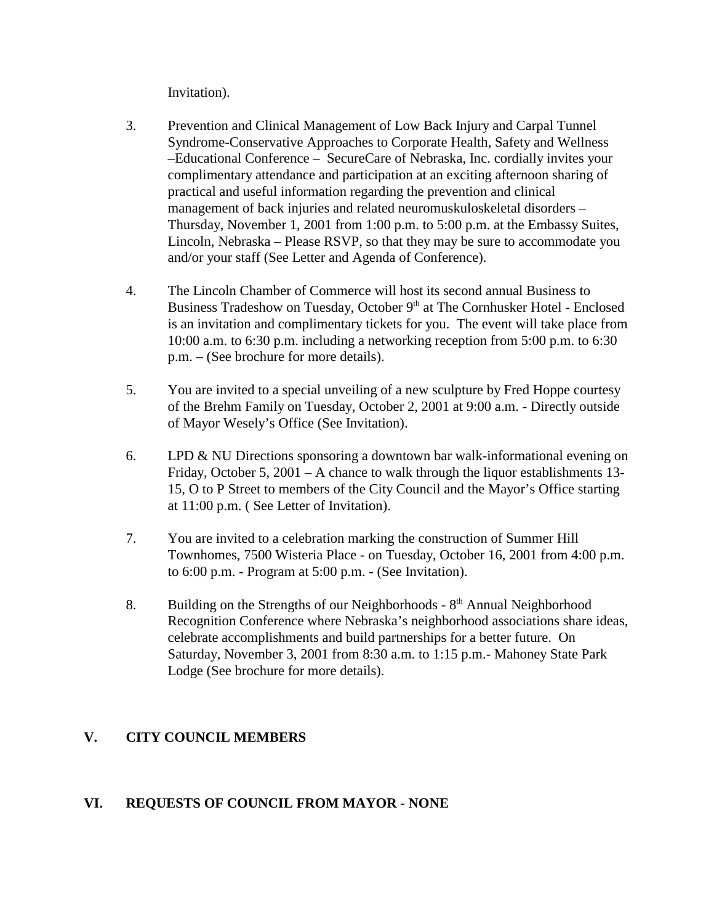Invitation).

- 3. Prevention and Clinical Management of Low Back Injury and Carpal Tunnel Syndrome-Conservative Approaches to Corporate Health, Safety and Wellness –Educational Conference – SecureCare of Nebraska, Inc. cordially invites your complimentary attendance and participation at an exciting afternoon sharing of practical and useful information regarding the prevention and clinical management of back injuries and related neuromuskuloskeletal disorders – Thursday, November 1, 2001 from 1:00 p.m. to 5:00 p.m. at the Embassy Suites, Lincoln, Nebraska – Please RSVP, so that they may be sure to accommodate you and/or your staff (See Letter and Agenda of Conference).
- 4. The Lincoln Chamber of Commerce will host its second annual Business to Business Tradeshow on Tuesday, October 9<sup>th</sup> at The Cornhusker Hotel - Enclosed is an invitation and complimentary tickets for you. The event will take place from 10:00 a.m. to 6:30 p.m. including a networking reception from 5:00 p.m. to 6:30 p.m. – (See brochure for more details).
- 5. You are invited to a special unveiling of a new sculpture by Fred Hoppe courtesy of the Brehm Family on Tuesday, October 2, 2001 at 9:00 a.m. - Directly outside of Mayor Wesely's Office (See Invitation).
- 6. LPD & NU Directions sponsoring a downtown bar walk-informational evening on Friday, October 5, 2001 – A chance to walk through the liquor establishments 13- 15, O to P Street to members of the City Council and the Mayor's Office starting at 11:00 p.m. ( See Letter of Invitation).
- 7. You are invited to a celebration marking the construction of Summer Hill Townhomes, 7500 Wisteria Place - on Tuesday, October 16, 2001 from 4:00 p.m. to 6:00 p.m. - Program at 5:00 p.m. - (See Invitation).
- 8. Building on the Strengths of our Neighborhoods  $8<sup>th</sup>$  Annual Neighborhood Recognition Conference where Nebraska's neighborhood associations share ideas, celebrate accomplishments and build partnerships for a better future. On Saturday, November 3, 2001 from 8:30 a.m. to 1:15 p.m.- Mahoney State Park Lodge (See brochure for more details).

# **V. CITY COUNCIL MEMBERS**

# **VI. REQUESTS OF COUNCIL FROM MAYOR - NONE**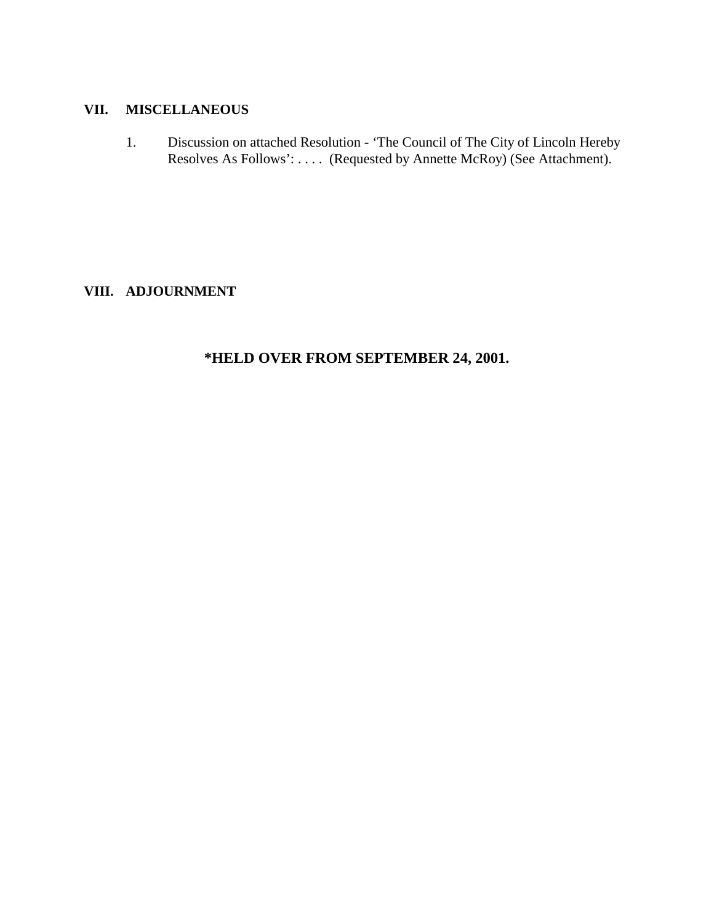#### **VII. MISCELLANEOUS**

1. Discussion on attached Resolution - 'The Council of The City of Lincoln Hereby Resolves As Follows': .... (Requested by Annette McRoy) (See Attachment).

### **VIII. ADJOURNMENT**

# **\*HELD OVER FROM SEPTEMBER 24, 2001.**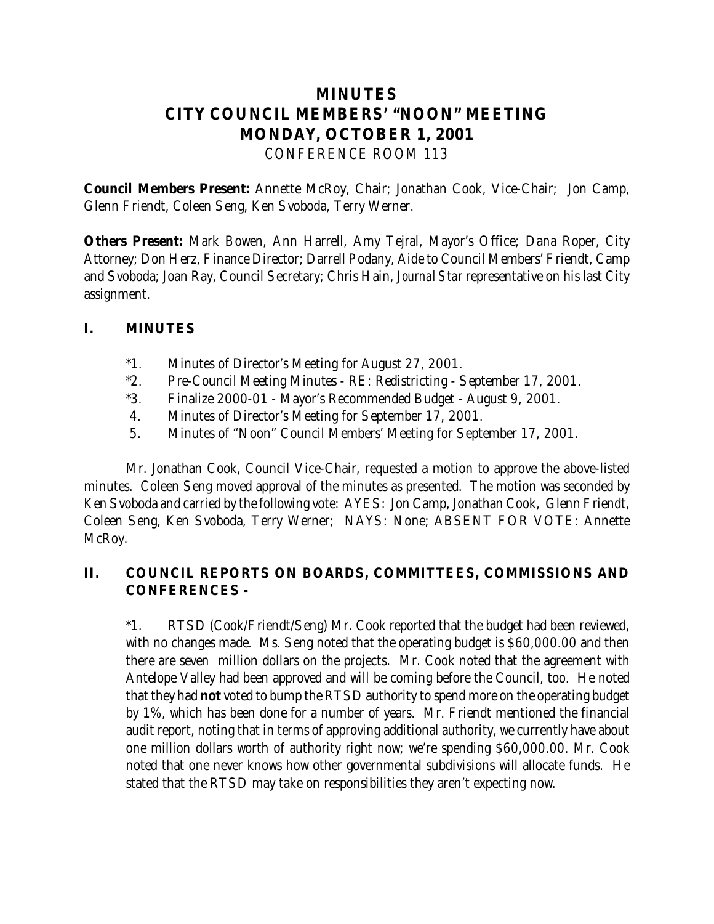# **MINUTES CITY COUNCIL MEMBERS' "NOON" MEETING MONDAY, OCTOBER 1, 2001** *CONFERENCE ROOM 113*

**Council Members Present:** Annette McRoy, Chair; Jonathan Cook, Vice-Chair; Jon Camp, Glenn Friendt, Coleen Seng, Ken Svoboda, Terry Werner.

**Others Present:** Mark Bowen, Ann Harrell, Amy Tejral, Mayor's Office; Dana Roper, City Attorney; Don Herz, Finance Director; Darrell Podany, Aide to Council Members' Friendt, Camp and Svoboda; Joan Ray, Council Secretary; Chris Hain, *Journal Star* representative on his last City assignment.

### **I. MINUTES**

- \*1. Minutes of Director's Meeting for August 27, 2001.
- \*2. Pre-Council Meeting Minutes RE: Redistricting September 17, 2001.
- \*3. Finalize 2000-01 Mayor's Recommended Budget August 9, 2001.
- 4. Minutes of Director's Meeting for September 17, 2001.
- 5. Minutes of "Noon" Council Members' Meeting for September 17, 2001.

Mr. Jonathan Cook, Council Vice-Chair, requested a motion to approve the above-listed minutes. Coleen Seng moved approval of the minutes as presented. The motion was seconded by Ken Svoboda and carried by the following vote: AYES: Jon Camp, Jonathan Cook, Glenn Friendt, Coleen Seng, Ken Svoboda, Terry Werner; NAYS: None; ABSENT FOR VOTE: Annette McRoy.

# **II. COUNCIL REPORTS ON BOARDS, COMMITTEES, COMMISSIONS AND CONFERENCES -**

\*1. RTSD (Cook/Friendt/Seng) Mr. Cook reported that the budget had been reviewed, with no changes made. Ms. Seng noted that the operating budget is \$60,000.00 and then there are seven million dollars on the projects. Mr. Cook noted that the agreement with Antelope Valley had been approved and will be coming before the Council, too. He noted that they had **not** voted to bump the RTSD authority to spend more on the operating budget by 1%, which has been done for a number of years. Mr. Friendt mentioned the financial audit report, noting that in terms of approving additional authority, we currently have about one million dollars worth of authority right now; we're spending \$60,000.00. Mr. Cook noted that one never knows how other governmental subdivisions will allocate funds. He stated that the RTSD may take on responsibilities they aren't expecting now.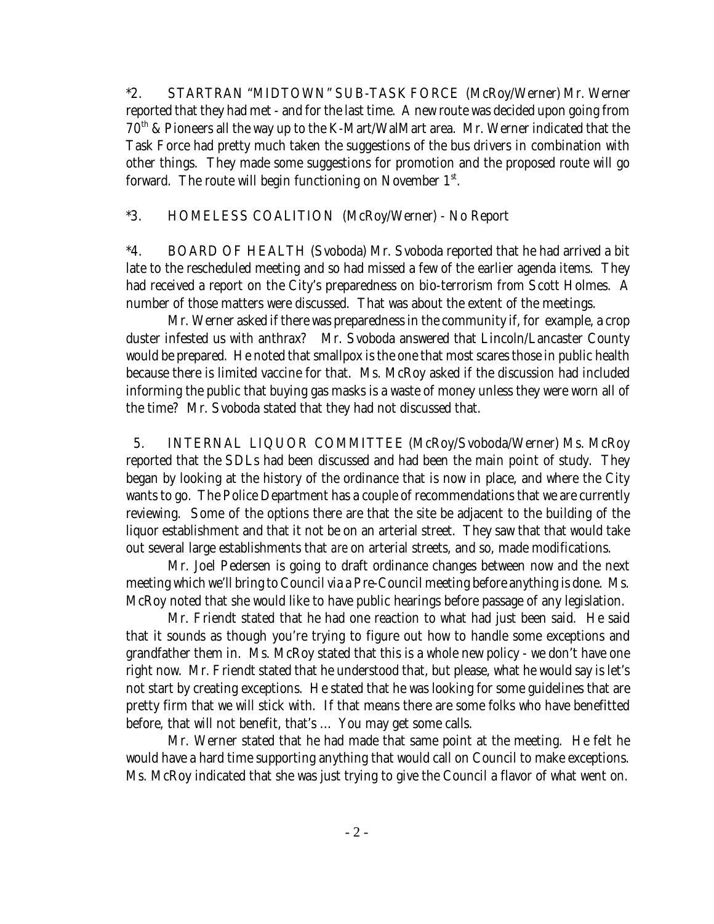\*2. STARTRAN "MIDTOWN" SUB-TASK FORCE (McRoy/Werner) Mr. Werner reported that they had met - and for the last time. A new route was decided upon going from  $70<sup>th</sup>$  & Pioneers all the way up to the K-Mart/WalMart area. Mr. Werner indicated that the Task Force had pretty much taken the suggestions of the bus drivers in combination with other things. They made some suggestions for promotion and the proposed route will go forward. The route will begin functioning on November  $1<sup>st</sup>$ .

#### \*3. HOMELESS COALITION (McRoy/Werner) - No Report

 \*4. BOARD OF HEALTH (Svoboda) Mr. Svoboda reported that he had arrived a bit late to the rescheduled meeting and so had missed a few of the earlier agenda items. They had received a report on the City's preparedness on bio-terrorism from Scott Holmes. A number of those matters were discussed. That was about the extent of the meetings.

Mr. Werner asked if there was preparedness in the community if, for example, a crop duster infested us with anthrax? Mr. Svoboda answered that Lincoln/Lancaster County would be prepared. He noted that smallpox is the one that most scares those in public health because there is limited vaccine for that. Ms. McRoy asked if the discussion had included informing the public that buying gas masks is a waste of money unless they were worn all of the time? Mr. Svoboda stated that they had not discussed that.

 5. INTERNAL LIQUOR COMMITTEE (McRoy/Svoboda/Werner) Ms. McRoy reported that the SDLs had been discussed and had been the main point of study. They began by looking at the history of the ordinance that is now in place, and where the City wants to go. The Police Department has a couple of recommendations that we are currently reviewing. Some of the options there are that the site be adjacent to the building of the liquor establishment and that it not be on an arterial street. They saw that that would take out several large establishments that *are* on arterial streets, and so, made modifications.

Mr. Joel Pedersen is going to draft ordinance changes between now and the next meeting which we'll bring to Council via a Pre-Council meeting before anything is done. Ms. McRoy noted that she would like to have public hearings before passage of any legislation.

Mr. Friendt stated that he had one reaction to what had just been said. He said that it sounds as though you're trying to figure out how to handle some exceptions and grandfather them in. Ms. McRoy stated that this is a whole new policy - we don't have one right now. Mr. Friendt stated that he understood that, but please, what he would say is let's not start by creating exceptions. He stated that he was looking for some guidelines that are pretty firm that we will stick with. If that means there are some folks who have benefitted before, that will not benefit, that's ... You may get some calls.

Mr. Werner stated that he had made that same point at the meeting. He felt he would have a hard time supporting anything that would call on Council to make exceptions. Ms. McRoy indicated that she was just trying to give the Council a flavor of what went on.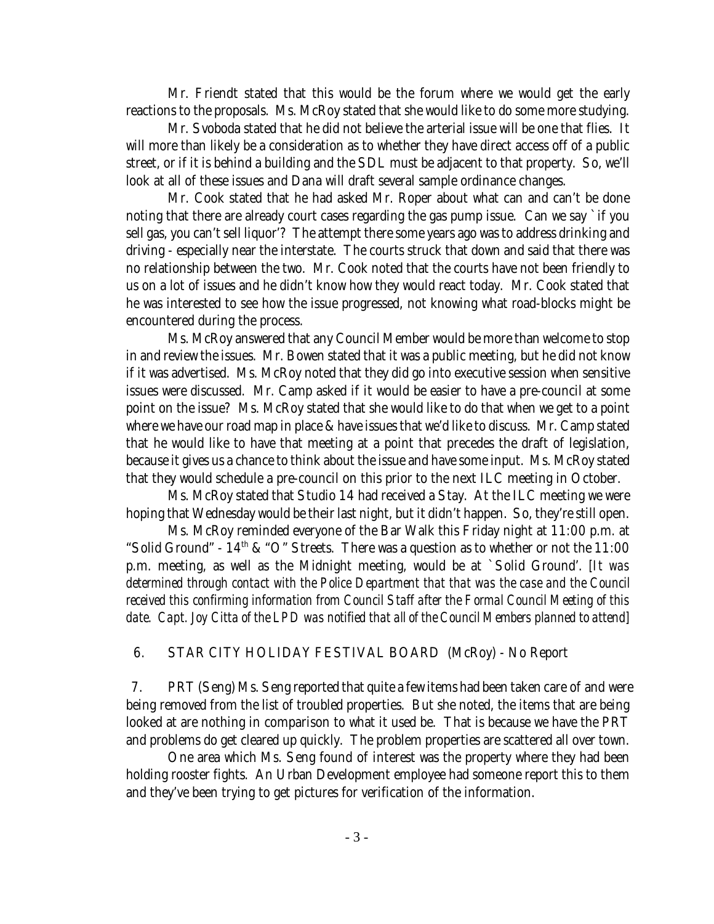Mr. Friendt stated that this would be the forum where we would get the early reactions to the proposals. Ms. McRoy stated that she would like to do some more studying.

Mr. Svoboda stated that he did not believe the arterial issue will be one that flies. It will more than likely be a consideration as to whether they have direct access off of a public street, or if it is behind a building and the SDL must be adjacent to that property. So, we'll look at all of these issues and Dana will draft several sample ordinance changes.

Mr. Cook stated that he had asked Mr. Roper about what can and can't be done noting that there are already court cases regarding the gas pump issue. Can we say `if you sell gas, you can't sell liquor'? The attempt there some years ago was to address drinking and driving - especially near the interstate. The courts struck that down and said that there was no relationship between the two. Mr. Cook noted that the courts have not been friendly to us on a lot of issues and he didn't know how they would react today. Mr. Cook stated that he was interested to see how the issue progressed, not knowing what road-blocks might be encountered during the process.

Ms. McRoy answered that any Council Member would be more than welcome to stop in and review the issues. Mr. Bowen stated that it was a public meeting, but he did not know if it was advertised. Ms. McRoy noted that they did go into executive session when sensitive issues were discussed. Mr. Camp asked if it would be easier to have a pre-council at some point on the issue? Ms. McRoy stated that she would like to do that when we get to a point where we have our road map in place & have issues that we'd like to discuss. Mr. Camp stated that he would like to have that meeting at a point that precedes the draft of legislation, because it gives us a chance to think about the issue and have some input. Ms. McRoy stated that they would schedule a pre-council on this prior to the next ILC meeting in October.

Ms. McRoy stated that Studio 14 had received a Stay. At the ILC meeting we were hoping that Wednesday would be their last night, but it didn't happen. So, they're still open.

Ms. McRoy reminded everyone of the Bar Walk this Friday night at 11:00 p.m. at "Solid Ground" -  $14<sup>th</sup>$  & "O" Streets. There was a question as to whether or not the 11:00 p.m. meeting, as well as the Midnight meeting, would be at `Solid Ground'. *[It was determined through contact with the Police Department that that was the case and the Council received this confirming information from Council Staff after the Formal Council Meeting of this date. Capt. Joy Citta of the LPD was notified that all of the Council Members planned to attend]*

#### 6. STAR CITY HOLIDAY FESTIVAL BOARD (McRoy) - No Report

 7. PRT (Seng) Ms. Seng reported that quite a few items had been taken care of and were being removed from the list of troubled properties. But she noted, the items that are being looked at are nothing in comparison to what it used be. That is because we have the PRT and problems do get cleared up quickly. The problem properties are scattered all over town.

One area which Ms. Seng found of interest was the property where they had been holding rooster fights. An Urban Development employee had someone report this to them and they've been trying to get pictures for verification of the information.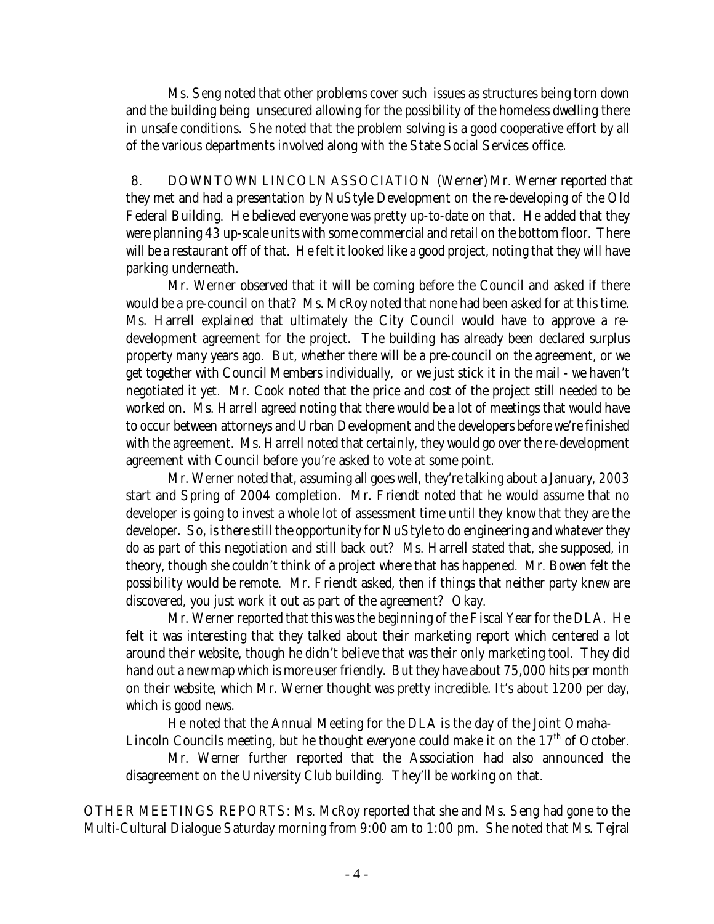Ms. Seng noted that other problems cover such issues as structures being torn down and the building being unsecured allowing for the possibility of the homeless dwelling there in unsafe conditions. She noted that the problem solving is a good cooperative effort by all of the various departments involved along with the State Social Services office.

 8. DOWNTOWN LINCOLN ASSOCIATION (Werner) Mr. Werner reported that they met and had a presentation by NuStyle Development on the re-developing of the Old Federal Building. He believed everyone was pretty up-to-date on that. He added that they were planning 43 up-scale units with some commercial and retail on the bottom floor. There will be a restaurant off of that. He felt it looked like a good project, noting that they will have parking underneath.

Mr. Werner observed that it will be coming before the Council and asked if there would be a pre-council on that? Ms. McRoy noted that none had been asked for at this time. Ms. Harrell explained that ultimately the City Council would have to approve a redevelopment agreement for the project. The building has already been declared surplus property many years ago. But, whether there will be a pre-council on the agreement, or we get together with Council Members individually, or we just stick it in the mail - we haven't negotiated it yet. Mr. Cook noted that the price and cost of the project still needed to be worked on. Ms. Harrell agreed noting that there would be a lot of meetings that would have to occur between attorneys and Urban Development and the developers before we're finished with the agreement. Ms. Harrell noted that certainly, they would go over the re-development agreement with Council before you're asked to vote at some point.

Mr. Werner noted that, assuming all goes well, they're talking about a January, 2003 start and Spring of 2004 completion. Mr. Friendt noted that he would assume that no developer is going to invest a whole lot of assessment time until they know that they are the developer. So, is there still the opportunity for NuStyle to do engineering and whatever they do as part of this negotiation and still back out? Ms. Harrell stated that, she supposed, in theory, though she couldn't think of a project where that has happened. Mr. Bowen felt the possibility would be remote. Mr. Friendt asked, then if things that neither party knew are discovered, you just work it out as part of the agreement? Okay.

Mr. Werner reported that this was the beginning of the Fiscal Year for the DLA. He felt it was interesting that they talked about their marketing report which centered a lot around their website, though he didn't believe that was their only marketing tool. They did hand out a new map which is more user friendly. But they have about 75,000 hits per month on their website, which Mr. Werner thought was pretty incredible. It's about 1200 per day, which is good news.

He noted that the Annual Meeting for the DLA is the day of the Joint Omaha-Lincoln Councils meeting, but he thought everyone could make it on the  $17<sup>th</sup>$  of October.

Mr. Werner further reported that the Association had also announced the disagreement on the University Club building. They'll be working on that.

OTHER MEETINGS REPORTS: Ms. McRoy reported that she and Ms. Seng had gone to the Multi-Cultural Dialogue Saturday morning from 9:00 am to 1:00 pm. She noted that Ms. Tejral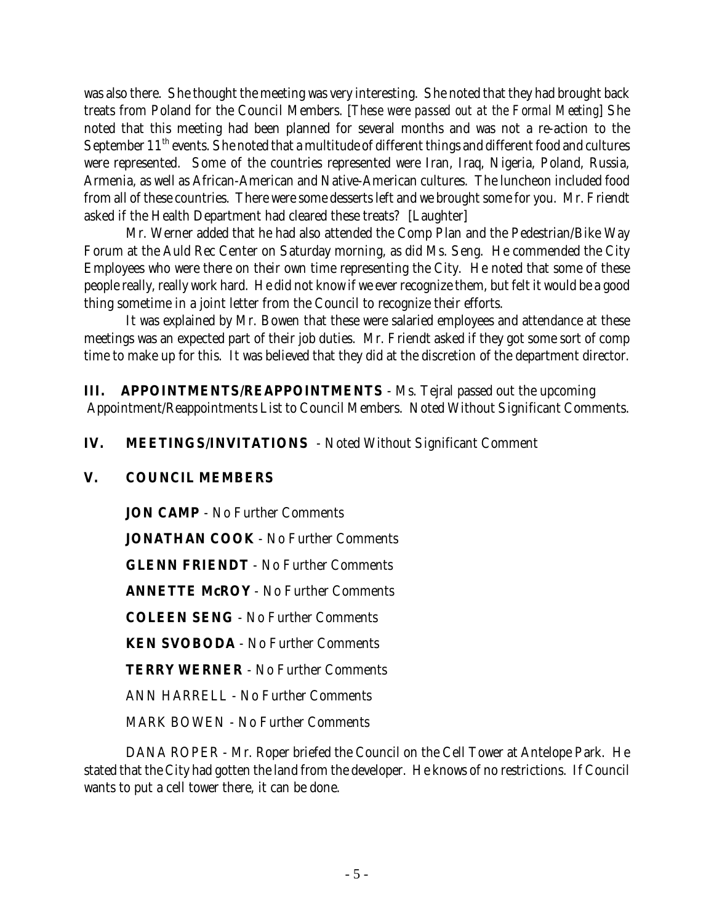was also there. She thought the meeting was very interesting. She noted that they had brought back treats from Poland for the Council Members. [*These were passed out at the Formal Meeting*] She noted that this meeting had been planned for several months and was not a re-action to the September 11<sup>th</sup> events. She noted that a multitude of different things and different food and cultures were represented. Some of the countries represented were Iran, Iraq, Nigeria, Poland, Russia, Armenia, as well as African-American and Native-American cultures. The luncheon included food from all of these countries. There were some desserts left and we brought some for you. Mr. Friendt asked if the Health Department had cleared these treats? [Laughter]

Mr. Werner added that he had also attended the Comp Plan and the Pedestrian/Bike Way Forum at the Auld Rec Center on Saturday morning, as did Ms. Seng. He commended the City Employees who were there on their own time representing the City. He noted that some of these people really, really work hard. He did not know if we ever recognize them, but felt it would be a good thing sometime in a joint letter from the Council to recognize their efforts.

It was explained by Mr. Bowen that these were salaried employees and attendance at these meetings was an expected part of their job duties. Mr. Friendt asked if they got some sort of comp time to make up for this. It was believed that they did at the discretion of the department director.

**III. APPOINTMENTS/REAPPOINTMENTS** - Ms. Tejral passed out the upcoming Appointment/Reappointments List to Council Members. Noted Without Significant Comments.

**IV. MEETINGS/INVITATIONS** - Noted Without Significant Comment

# **V. COUNCIL MEMBERS**

**JON CAMP** - No Further Comments **JONATHAN COOK** - No Further Comments **GLENN FRIENDT** - No Further Comments **ANNETTE McROY** - No Further Comments **COLEEN SENG** - No Further Comments **KEN SVOBODA** - No Further Comments **TERRY WERNER** - No Further Comments ANN HARRELL - No Further Comments MARK BOWEN - No Further Comments

DANA ROPER - Mr. Roper briefed the Council on the Cell Tower at Antelope Park. He stated that the City had gotten the land from the developer. He knows of no restrictions. If Council wants to put a cell tower there, it can be done.